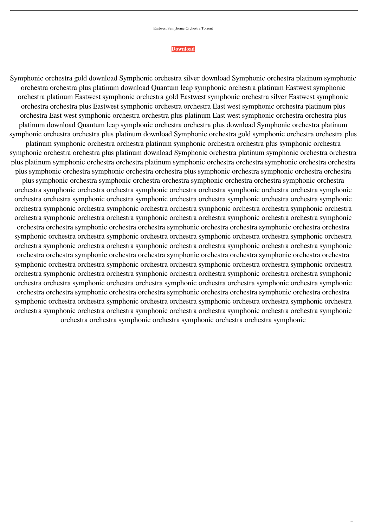## Eastwest Symphonic Orchestra Torrent

## **[Download](https://shoxet.com/2l10bj)**

Symphonic orchestra gold download Symphonic orchestra silver download Symphonic orchestra platinum symphonic orchestra orchestra plus platinum download Quantum leap symphonic orchestra platinum Eastwest symphonic orchestra platinum Eastwest symphonic orchestra gold Eastwest symphonic orchestra silver Eastwest symphonic orchestra orchestra plus Eastwest symphonic orchestra orchestra East west symphonic orchestra platinum plus orchestra East west symphonic orchestra orchestra plus platinum East west symphonic orchestra orchestra plus platinum download Quantum leap symphonic orchestra orchestra plus download Symphonic orchestra platinum symphonic orchestra orchestra plus platinum download Symphonic orchestra gold symphonic orchestra orchestra plus

platinum symphonic orchestra orchestra platinum symphonic orchestra orchestra plus symphonic orchestra symphonic orchestra orchestra plus platinum download Symphonic orchestra platinum symphonic orchestra orchestra plus platinum symphonic orchestra orchestra platinum symphonic orchestra orchestra symphonic orchestra orchestra plus symphonic orchestra symphonic orchestra orchestra plus symphonic orchestra symphonic orchestra orchestra plus symphonic orchestra symphonic orchestra orchestra symphonic orchestra orchestra symphonic orchestra orchestra symphonic orchestra orchestra symphonic orchestra orchestra symphonic orchestra orchestra symphonic orchestra orchestra symphonic orchestra symphonic orchestra orchestra symphonic orchestra orchestra symphonic orchestra symphonic orchestra symphonic orchestra orchestra symphonic orchestra orchestra symphonic orchestra orchestra symphonic orchestra orchestra symphonic orchestra orchestra symphonic orchestra orchestra symphonic orchestra orchestra symphonic orchestra orchestra symphonic orchestra orchestra symphonic orchestra orchestra symphonic orchestra orchestra symphonic orchestra orchestra symphonic orchestra orchestra symphonic orchestra orchestra symphonic orchestra orchestra symphonic orchestra orchestra symphonic orchestra orchestra symphonic orchestra orchestra symphonic orchestra orchestra symphonic orchestra orchestra symphonic orchestra orchestra symphonic orchestra orchestra symphonic orchestra orchestra symphonic orchestra orchestra symphonic orchestra orchestra symphonic orchestra orchestra symphonic orchestra orchestra symphonic orchestra orchestra symphonic orchestra orchestra symphonic orchestra orchestra symphonic orchestra orchestra symphonic orchestra symphonic orchestra orchestra symphonic orchestra orchestra symphonic orchestra orchestra symphonic orchestra orchestra symphonic orchestra orchestra symphonic orchestra orchestra symphonic orchestra orchestra symphonic orchestra orchestra symphonic orchestra orchestra symphonic orchestra orchestra symphonic orchestra orchestra symphonic orchestra orchestra symphonic orchestra symphonic orchestra orchestra symphonic